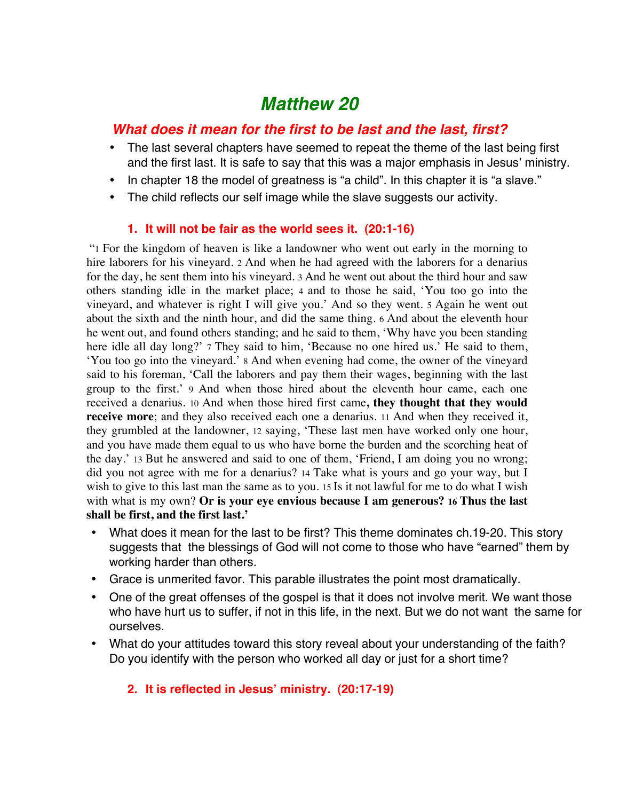# *Matthew 20*

## *What does it mean for the first to be last and the last, first?*

- The last several chapters have seemed to repeat the theme of the last being first and the first last. It is safe to say that this was a major emphasis in Jesus' ministry.
- In chapter 18 the model of greatness is "a child". In this chapter it is "a slave."
- The child reflects our self image while the slave suggests our activity.

## **1. It will not be fair as the world sees it. (20:1-16)**

 "1 For the kingdom of heaven is like a landowner who went out early in the morning to hire laborers for his vineyard. 2 And when he had agreed with the laborers for a denarius for the day, he sent them into his vineyard. 3 And he went out about the third hour and saw others standing idle in the market place; 4 and to those he said, 'You too go into the vineyard, and whatever is right I will give you.' And so they went. 5 Again he went out about the sixth and the ninth hour, and did the same thing. 6 And about the eleventh hour he went out, and found others standing; and he said to them, 'Why have you been standing here idle all day long?' 7 They said to him, 'Because no one hired us.' He said to them, 'You too go into the vineyard.' 8 And when evening had come, the owner of the vineyard said to his foreman, 'Call the laborers and pay them their wages, beginning with the last group to the first.' 9 And when those hired about the eleventh hour came, each one received a denarius. 10 And when those hired first came**, they thought that they would receive more**; and they also received each one a denarius. 11 And when they received it, they grumbled at the landowner, 12 saying, 'These last men have worked only one hour, and you have made them equal to us who have borne the burden and the scorching heat of the day.' 13 But he answered and said to one of them, 'Friend, I am doing you no wrong; did you not agree with me for a denarius? 14 Take what is yours and go your way, but I wish to give to this last man the same as to you. 15 Is it not lawful for me to do what I wish with what is my own? **Or is your eye envious because I am generous? 16 Thus the last shall be first, and the first last.'**

- What does it mean for the last to be first? This theme dominates ch.19-20. This story suggests that the blessings of God will not come to those who have "earned" them by working harder than others.
- Grace is unmerited favor. This parable illustrates the point most dramatically.
- One of the great offenses of the gospel is that it does not involve merit. We want those who have hurt us to suffer, if not in this life, in the next. But we do not want the same for ourselves.
- What do your attitudes toward this story reveal about your understanding of the faith? Do you identify with the person who worked all day or just for a short time?

## **2. It is reflected in Jesus' ministry. (20:17-19)**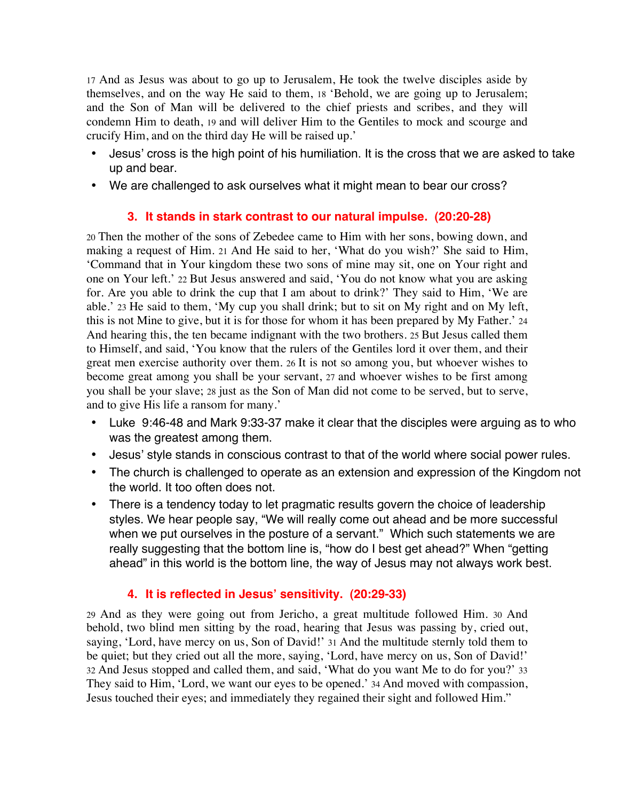17 And as Jesus was about to go up to Jerusalem, He took the twelve disciples aside by themselves, and on the way He said to them, 18 'Behold, we are going up to Jerusalem; and the Son of Man will be delivered to the chief priests and scribes, and they will condemn Him to death, 19 and will deliver Him to the Gentiles to mock and scourge and crucify Him, and on the third day He will be raised up.'

- Jesus' cross is the high point of his humiliation. It is the cross that we are asked to take up and bear.
- We are challenged to ask ourselves what it might mean to bear our cross?

## **3. It stands in stark contrast to our natural impulse. (20:20-28)**

20 Then the mother of the sons of Zebedee came to Him with her sons, bowing down, and making a request of Him. 21 And He said to her, 'What do you wish?' She said to Him, 'Command that in Your kingdom these two sons of mine may sit, one on Your right and one on Your left.' 22 But Jesus answered and said, 'You do not know what you are asking for. Are you able to drink the cup that I am about to drink?' They said to Him, 'We are able.' 23 He said to them, 'My cup you shall drink; but to sit on My right and on My left, this is not Mine to give, but it is for those for whom it has been prepared by My Father.' 24 And hearing this, the ten became indignant with the two brothers. 25 But Jesus called them to Himself, and said, 'You know that the rulers of the Gentiles lord it over them, and their great men exercise authority over them. 26 It is not so among you, but whoever wishes to become great among you shall be your servant, 27 and whoever wishes to be first among you shall be your slave; 28 just as the Son of Man did not come to be served, but to serve, and to give His life a ransom for many.'

- Luke 9:46-48 and Mark 9:33-37 make it clear that the disciples were arguing as to who was the greatest among them.
- Jesus' style stands in conscious contrast to that of the world where social power rules.
- The church is challenged to operate as an extension and expression of the Kingdom not the world. It too often does not.
- There is a tendency today to let pragmatic results govern the choice of leadership styles. We hear people say, "We will really come out ahead and be more successful when we put ourselves in the posture of a servant." Which such statements we are really suggesting that the bottom line is, "how do I best get ahead?" When "getting ahead" in this world is the bottom line, the way of Jesus may not always work best.

## **4. It is reflected in Jesus' sensitivity. (20:29-33)**

29 And as they were going out from Jericho, a great multitude followed Him. 30 And behold, two blind men sitting by the road, hearing that Jesus was passing by, cried out, saying, 'Lord, have mercy on us, Son of David!' 31 And the multitude sternly told them to be quiet; but they cried out all the more, saying, 'Lord, have mercy on us, Son of David!' 32 And Jesus stopped and called them, and said, 'What do you want Me to do for you?' 33 They said to Him, 'Lord, we want our eyes to be opened.' 34 And moved with compassion, Jesus touched their eyes; and immediately they regained their sight and followed Him."